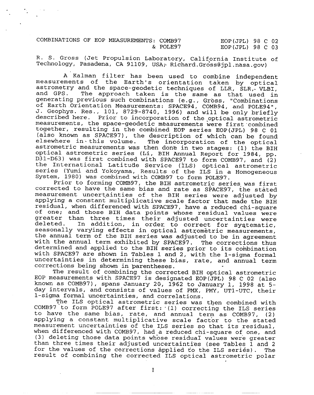COMBINATIONS OF EOP MEASUREMENTS: COMB97 EOP(JPL) 98 C 02<br>EOP(JPL) 98 C 03  $EOP(JPL)$  98 C 03

.

R. S. Gross (Jet Propulsion Laboratory, California Institute of Technology, Pasadena, CA 91109, USA; Richard.Gross@jpl.nasa.gov)

A Kalman filter has been used to combine independent measurements of the Earth's orientation taken by optical astrometry and the space-geodetic techniques of LLR, SLR, VLBI,<br>and GPS. The approach taken is the same as that used in The approach taken is the same as that used in generating previous such combinations (e.g., Gross, "Combinations of Earth Orientation Measurements: SPACE94, COMB94, and POI,E94", J. Geophys. Res., 101, 8729-8740, 1996) and will be only briefly described here. Prior to incorporation of the optical astrometric measurements, the space–geodetic measurements were first-combined together, resulting in the combined EOP series EOP(JPL) 98 C 01 (also known as SPACE97) , the description of which can be found elsewhere in-this volume. The incorporation of the optical astrometric measurements was then done. in two stages: (1) the BIH optical astrometric series (Li, BIH Annual Report for 1984, pp. D31-D63) was first combined with SPACE97 to form COMB97, and (2) the International Latitude Service (ILS) optical astrometric series (Yumi and Yokoyama, Results of the ILS in a Homogeneous System, 1980) was combined with COMB97 to form POLE97.

Prior to forming COMB97, the BIH astrometric series was first corrected to have the same bias and rate as SPACE97, the stated measurement uncertainties of the BIH series were adjusted by applying a constant multiplicative scale factor that made the BIH residual, when differenced with SPACE97, have a reduced chi-square of one; and those BIH data points whose residual values were greater than three times their adjusted uncertainties were<br>deleted. In addition, in order to correct for systematic In addition, in order to correct for systematic, seasonally varying effects in optical astrometric measurements, the annual term of the BIH series was adjusted to be in agreement with the annual term exhibited by SPACE97. The corrections thus determined and applied to the BIH series prior to its combination with SPACE97 are shown in Tables 1 and 2, with the l-sigma formal uncertainties in determining these bias, rate, and annual term corrections being shown in parentheses.

The result of combining the corrected BIH optical astrometric EOP measurements with SPACE97 is designated EOP(JPL) 98 C 02 (also known as  $COMB97)$ , spans January 20, 1962 to January 1, 1998 at 5day intervals, and consists of values of PMX, PMY, UT1-UTC, their l-sigma formal uncertainties, and correlations.

The ILS optical astrometric series was then combined with COMB97 to form POLE97 after first: (1) correcting the ILS series to have the same bias, rate, and annual term as COMB97, (2) applying a constant multiplicative scale factor to the stated measurement uncertainties of the ILS series so that its residual when differenced with COMB97, had a reduced chi-square of one, and (3) deleting those data points whose residual values were greater than three times their adjusted uncertainties (see Tables 1 and 2 for the values of the corrections applied to the ILS series). The result of combining the corrected ILS optical astrometric polar ,

1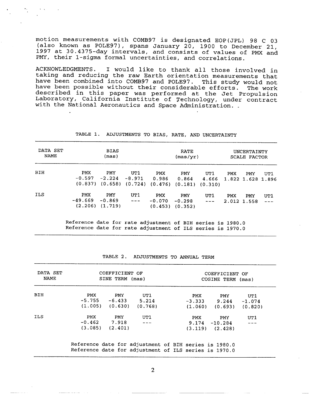motion measurements with COMB97 is designated EOP(JPL) 98 C 03 (Z31S0 known as POLE97), spans **January 20, 1900 to DeCember 21,** 1997 at 30.4375-day intervals, and consists of values of PMX and PMY, their l-sigma formal uncertainties, and correlations.

., . .

ACKNOWLEDGMENTS . I would like to thank all those involved in taking and reducing the raw Earth orientation measurements that have been combined into COMB97 and POLE97. This study would not have been possible without their considerable efforts. The work described in this paper was performed at the Jet Propulsion Laboratory, California Institute of Technology, under contrac with the National Aeronautics and Space Administration. .

| DATA SET<br><b>NAME</b> |                                   | <b>BIAS</b><br>(mas)                          |                      |                                   | <b>RATE</b><br>(max/yr)                                 | UNCERTAINTY<br>SCALE FACTOR |            |                           |                          |
|-------------------------|-----------------------------------|-----------------------------------------------|----------------------|-----------------------------------|---------------------------------------------------------|-----------------------------|------------|---------------------------|--------------------------|
| <b>BIH</b>              | <b>PMX</b><br>$-0.597$<br>(0.837) | <b>PMY</b><br>$-2.224$                        | UT1<br>$-8.971$      | <b>PMX</b><br>0.986               | PMY<br>0.864<br>$(0.658)$ $(0.724)$ $(0.476)$ $(0.181)$ | UT1<br>4.666<br>(0.310)     | <b>PMX</b> | <b>PMY</b>                | UT1<br>1.822 1.628 1.896 |
| ILS                     | <b>PMX</b><br>$-49.669$           | <b>PMY</b><br>$-0.869$<br>$(2.206)$ $(1.719)$ | UT1<br>$\frac{1}{2}$ | <b>PMX</b><br>$-0.070$<br>(0.453) | <b>PMY</b><br>$-0.298$<br>(0.352)                       | UT1<br>$\frac{1}{2}$        | <b>PMX</b> | <b>PMY</b><br>2.012 1.558 | UT1<br>$\frac{1}{2}$     |

**TABLE 1. ADJUSTMENTS TO BIAS, RATE, AND UNCERTAINTY**

**Reference date for rate adjustment of BIH series is 1980.0 Reference date for rate adjustment of ILS series is 1970.0**

| DATA SET<br><b>NAME</b> |                                                                                                                | COEFFICIENT OF<br>SINE TERM (mas) |                         | COEFFICIENT OF<br>COSINE TERM (mas) |                                                |                            |  |  |  |  |
|-------------------------|----------------------------------------------------------------------------------------------------------------|-----------------------------------|-------------------------|-------------------------------------|------------------------------------------------|----------------------------|--|--|--|--|
| <b>BIH</b>              | <b>PMX</b><br>$-5.755 - 6.433$                                                                                 | <b>PMY</b><br>$(1.005)$ $(0.630)$ | UT1<br>5.214<br>(0.768) | <b>PMX</b>                          | PMY<br>$-3.333$ $9.244$<br>$(1.060)$ $(0.693)$ | UT1<br>$-1.074$<br>(0.820) |  |  |  |  |
| ILS                     | <b>PMX</b><br>$-0.462$ 7.918                                                                                   | PMY<br>$(3.085)$ $(2.401)$        | UT1<br>$\frac{1}{2}$    | <b>PMX</b>                          | PMY<br>$9.174 - 10.284$<br>$(3.119)$ $(2.428)$ | UT1                        |  |  |  |  |
|                         | Reference date for adjustment of BIH series is 1980.0<br>Reference date for adjustment of ILS series is 1970.0 |                                   |                         |                                     |                                                |                            |  |  |  |  |

**TABLE 2. ADJUSTMENTS TO ANNUAL TERM**

2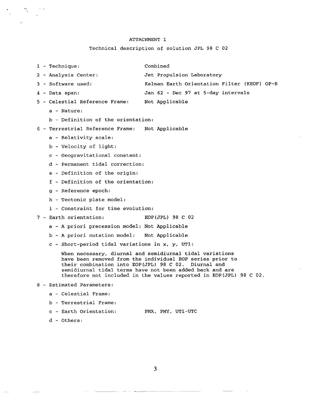### **ATTACHMENT 1**

## **Technical description of solution JPL 98 C 02**

**1 - Technique:**

 $\ddotsc$  .

**Combined**

- **2 - Analysis Center: Jet Propulsion Laboratory**
- **3 - Software used: Kalman Earth Orientation Filter (KEOF) OP-B**
- 4 **Data span:**
- **Jan 62 - Dec 97 at 5-day intervals**

**Not Applicable**

- 5 **Celestial Reference Frame:**
	- **a - Nature:**
	- **b - Definition of the orientation:**
- **6 - Terrestrial Reference Frame: Not Applicable**
	- **a - Relativity scale:**
	- **b - Velocity of light:**
	- **c - Geogravitational constant:**
	- **d - Permanent tidal correction:**
	- **e - Definition of the origin:**
	- **f - Definition of the orientation:**
	- **9 - Reference epoch:**
	- **h- Tectonic plate model:**
	- **i - Constraint for time evolution:**
- **7 - Earth orientation: EOP(JPL) 98 C 02**
	- **a - A priori precession model: Not Applicable**
	- **b - A priori nutation model: Not Applicable**
	- **c - Short-period tidal variations in x, y, UT1:**

**When necessary, diurnal and semidiurnal tidal variations have been removed from the individual EOP series prior to their combination into EOP(JPL) 98 C 02. Diurnal and semidiurnal tidal terms have not been added back and are therefore not included in the values reported in EOP(JPL) 98 C 02.**

- **8 - Estimated Parameters:**
	- **a - Celestial Frame:**
	- **b - Terrestrial Frame:**
	- **c - Earth Orientation: PMX, PMY, UT1-UTC**
	- **d - Others:**

3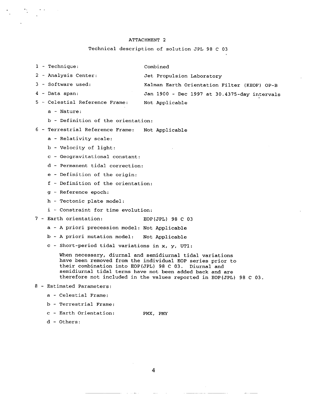# **ATTACHMENT 2**

#### **Technical description of solution JPL 98 C 03**

1 - Technique: Combine

. . . .

**2-**

- 
- **Analysis Center: Jet Propulsion Laboratory**
- **3- Software used: Kalman Earth Orientation Filter (KEOF) OP-B**
- **4-**
- **Data span: Jan 1900 - Dec 1997 at 30.4375-day intervals**
- **5- Celestial Reference Frame: Not Applicable**
	- **a - Nature:**
	- **b - Definition of the orientation:**
- **6- Terrestrial Reference Frame: Not Applicable**
	- **a-Relativity scale:**
	- **b-Velocity of light:**
	- **c-Geogravitational constant:**
	- **d-Permanent tidal correction:**
	- **e-Definition of the origin:**
	- **f-Definition of the orientation:**
	- **9- Reference epoch:**
	- **h-Tectonic plate model:**
	- **i-Constraint for time evolution:**
- **7- Earth orientation: EOP(JPL) 98 C 03**
	- **a - A priori precession model: Not** Applicable
	- **b - A priori nutation model: Not Applicable**
	- **c - Short-period tidal variations in x, y,** UT1:

**When** necessary, diurnal and semidiurnal tidal variations **have been removed from the individual EOP series prior to their combination into EOP(JPL)** 98 C 03. **Diurnal and semidiurnal tidal terms have not been added back and are therefore not included in the values reported in EOP(JPL)** 98 C 03.

- **8- Estimated Parameters:**
	- **a - Celestial Frame:**
	- **b - Terrestrial Frame:**
	- **c - Earth Orientation: Pm, PMY**
	- **d - Others:**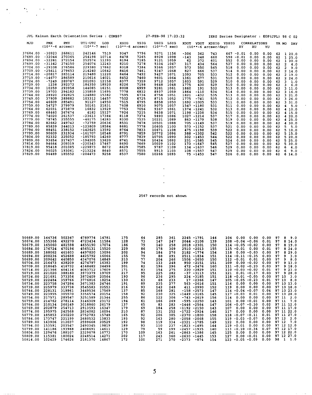|          |            |                    | JPL Kalman Earth Orientation Series : COMB97 |       |                            |      | 27-FEB-98 17:23:32 |      |             |                        |     | IERS Series Designator : |         |              | EOP(JPL) 98 C 02 |       |                |            |   |
|----------|------------|--------------------|----------------------------------------------|-------|----------------------------|------|--------------------|------|-------------|------------------------|-----|--------------------------|---------|--------------|------------------|-------|----------------|------------|---|
| MJD      | <b>PMX</b> | PMY                | UT1-UTC                                      | LOD   | <b>XSIG</b>                | YSIG | USIG               | LSIG | <b>XDOT</b> | <b>YDOT</b>            |     | XDSIG YDSIG              |         | CORRELATIONS |                  | YR MO |                | <b>DAY</b> |   |
|          |            | $(10***-6 arcsec)$ | $(10***-7)$                                  | sec)  | $(10***-6 \text{ arcsec})$ |      | $(10***-7$ sec)    |      |             | $(10***-6 arcsec/day)$ |     |                          | XY.     | XU           | YU               |       |                |            |   |
|          |            |                    |                                              |       |                            |      |                    |      |             |                        |     |                          |         |              |                  |       |                |            |   |
| 37684.00 | $-30923$   | 268611             | 242146                                       | 7519  | 9347                       | 7796 | 9271               | 1156 | $-306$      | 362                    | 743 | 667                      | $-0.01$ | 0.00         | 0.00             | 62    | 1              | 20.0       |   |
| 37689.00 | $-32044$   | 270365             | 254198                                       | 10714 | 8478                       | 7265 | 8928               | 1098 | $-143$      | 348                    | 660 | 598                      | $-0.01$ | 0.00         | 0.00             | 62    | $\mathbf{1}$   | 25.0       |   |
| 37694.00 | $-32281$   | 272154             | 252574                                       | 11393 | 8194                       | 7185 | 9121               | 1059 | 62          | 372                    | 601 | 552                      | 0.00    | 0.00         | 0.00             | 62    | $\mathbf{1}$   | 30.0       |   |
| 37699.00 | $-31342$   | 274150             | 254074                                       | 12243 | 8210                       | 7278 | 9334               | 1047 | 317         | 434                    | 564 | 527                      | 0.00    | 0.00         | 0.00             | 62    | 2              | 4.0        |   |
| 37704.00 | $-29108$   | 276586             | 229380                                       | 17862 | 8318                       | 7384 | 9366               | 1057 | 573         | 550                    | 545 | 518                      | 0.00    | 0.00         | 0.00             | 62    | 2              | 9.0        |   |
| 37709.00 | $-25611$   | 279653             | 214240                                       | 10642 | 8416                       | 7461 | 9347               | 1068 | 827         | 666                    | 537 | 514                      | 0.00    | 0.00         | 0.00             | 62    | 2              | 14.0       |   |
| 37714.00 | $-20817$   | 283114             | 219480                                       | 11220 | 8464                       | 7492 | 9427               | 1071 | 1093        | 705                    | 533 | 512                      | 0.00    | 0.00         | 0.00             | 62    |                | 2, 19.0    |   |
| 37719.00 | $-14677$   | 286589             | 210616                                       | 14021 | 8452                       | 7460 | 9601               | 1064 | 1361        | 677                    | 531 | 510                      | 0.00    | 0.00         | 0.00             | 62    | $\overline{2}$ | 24.0       |   |
| 37724.00 | $-7249$    | 289787             | 201093                                       | 12158 | 8377                       | 7359 | 9712               | 1057 | 1603        | 591                    | 529 | 510                      | 0.00    | 0.00         | 0.00             | 62    | 3              | 1.0        |   |
| 37729.00 | 1238       | 292372             | 184350                                       | 18920 | 8226                       | 7198 | 9648               | 1048 | 1775        | 430                    | 529 | 510                      | 0.00    | 0.00         | 0.00             | 62    | 3              | 6.0        |   |
| 37734.00 | 10359      | 293958             | 144085                                       | 16151 | 8008                       | 6999 | 9281               | 1061 | 1860        | 191                    | 532 | 513                      | 0.00    | 0.00         | 0.00             | 62    |                | 311.0      |   |
| 37739.00 | 19703      | 294182             | 135859                                       | 11695 | 7778                       | 6832 | 8937               | 1059 | 1864        | $-110$                 | 534 | 514                      | 0.00    | 0.00         | 0.00             | 62    |                | 3, 16.0    |   |
| 37744.00 | 28920      | 292825             | 124880                                       | 15382 | 7595                       | 6736 | 8758               | 1051 | 1821        | $-432$                 | 535 | 513                      | 0.00    | 0.00         | 0.00             | 62    |                | 321.0      |   |
| 37749.00 | 37909      | 289882             | 103312                                       | 14457 | 7502                       | 6725 | 8715               | 1052 | 1775        | $-741$                 | 535 | 512                      | 0.00    | 0.00         | 0.00             | 62    |                | 3, 26.0    |   |
| 37754.00 | 46609      | 285491             | 91127                                        | 14950 | 7515                       | 6795 | 8858               | 1050 |             | 1692 -1005             | 533 | 511                      | 0.00    | 0.00         | 0.00             | 62    |                | 3, 31.0    |   |
| 37759.00 | 54727      | 279979             | 50161                                        | 21831 | 7608                       | 6910 | 9075               | 1057 |             | 1547 -1180             | 531 | 511                      | 0.00    | 0.00         | 0.00             | 62    | 4              | 5.0        | ٠ |
| 37764.00 | 62031      | 273879             | 16832                                        | 13929 | 7753                       | 7056 | 9367               | 1061 | 1374 -1241  |                        | 532 | 513                      | 0.00    | 0.00         | 0.00             | 62    |                | 410.0      |   |
| 37769.00 | 68460      | 267674             | 4182                                         | 15127 | 7924                       | 7215 | 9638               | 1071 |             | 1198 -1238             | 534 | 515                      | 0.00    | 0.00         | 0.00             | 62    |                | 4 15.0     |   |
| 37774.00 | 74020      | 261537             | $-23613$                                     | 17384 | 8118                       | 7374 | 9890               | 1086 | 1027 -1214  |                        | 537 | 517                      | 0.00    | 0.00         | 0.00             | 62    |                | 420.0      |   |
| 37779.00 | 78745      | 255555             | $-46175$                                     | 14283 | 8330                       | 7535 | 10221              | 1089 |             | $863 - 1179$           | 538 | 519                      | 0.00    | 0.00         | 0.00             | 62    |                | 425.0      |   |
| 37784.00 | 82662      | 249742             | $-72759$                                     | 20636 | 8531                       | 7678 | 10501              | 1088 |             | $705 - 1149$           | 537 | 519                      | 0.00    | 0.00         | 0.00             | 62    |                | 4, 30.0    |   |
| 37789.00 | 85839      | 244013             | $-123809$                                    | 18584 | 8681                       | 7778 | 10605              | 1100 |             | $573 - 1152$           | 537 | 521                      | 0.00    | 0.00         | 0.00             | 62    | 5              | 5.0        |   |
| 37794.00 | 88451      | 238152             | $-142625$                                    | 13592 | 8764                       | 7833 | 10671              | 1108 |             | $475 - 1198$           | 539 | 522                      | 0.00    | 0.00         | 0.00             | 62    |                | 510.0      |   |
| 37799.00 | 90609      | 231934             | $-161707$                                    | 16548 | 8791                       | 7859 | 10772              | 1096 |             | 388 -1302              | 542 | 522                      | 0.00    | 0.00         | 0.00             | 62    |                | 515.0      |   |
| 37804.00 | 92332      | 225052             | $-185793$                                    | 14260 | 8777                       | 7839 | 10705              | 1090 |             | $302 - 1453$           | 544 | 522                      | 0.00    | 0.00         | 0.00             | 62    |                | 520.0      |   |
| 37809.00 | 93654      | 217437             | $-194205$                                    | 13620 | 8741                       | 7768 | 10424              | 1092 |             | $231 - 1585$           | 545 | 524                      | 0.00    | 0.00         | 0.00             | 62    |                | 525.0      |   |
| 37814.00 | 94664      | 209319             | $-220343$                                    | 17467 | 8690                       | 7669 | 10029              | 1102 | 173         | $-1647$                | 545 | 527                      | 0.00    | 0.00         | 0.00             | 62    | 5.             | 30.0       |   |
| 37819.00 | 95418      | 201085             | $-229873$                                    | 8672  | 8629                       | 7585 | 9787               | 1109 | 134         | $-1637$                | 546 | 529                      | 0.00    | 0.00         | 0.00             | 62    | 6              | 4.0        |   |
| 37824.00 | 96025      | 193061             | $-213224$                                    | 8640  | 8571                       | 7555 | 9913               | 1103 |             | 108 -1557              | 547 | 529                      | 0.00    | 0.00         | 0.00             | 62    | 6              | 9.0        |   |
| 37829.00 | 96489      | 185552             | $-204473$                                    | 9258  | 8537                       | 7580 | 10266              | 1093 |             | $75 - 1453$            | 547 | 526                      | 0.00    | 0.00         | 0.00             | 62    |                | 614.0      |   |

., . .

records not shown

 $\mathbb{R}^2$  $\ddot{\phantom{a}}$  $\bar{z}$ 

 $\overline{a}$ 

| 50669.00 | 144736 | 502347 | 4789774 | 14781 | 175 | 64  | 285 | 361 | $2245 - 1791$     | 144 | 104<br>0.00<br>0.00       | 0.00 | 97                 | 8<br>9.0   |
|----------|--------|--------|---------|-------|-----|-----|-----|-----|-------------------|-----|---------------------------|------|--------------------|------------|
| 50674.00 | 155366 | 492270 | 4723434 | 11584 | 128 | 73  | 147 | 247 | $2044 - 2106$     | 139 | 108<br>$-0.04 - 0.06$     | 0.01 | 97                 | 8.<br>14.0 |
| 50679.00 | 165060 | 481598 | 4655190 | 17074 | 186 | 79  | 140 | 258 | 2018 -2301        | 150 | $114 - 0.05 - 0.02$       | 0.00 | 97                 | 8 19.0     |
| 50684.00 | 176724 | 470196 | 4565131 | 15520 | 229 | 86  | 178 | 309 | 2510 -2013        | 155 | $-0.01$<br>115<br>0.00    | 0.01 | 97                 | 824.0      |
| 50689.00 | 188062 | 461603 | 4497820 | 13096 | 202 | 94  | 184 | 276 | 2182 -1774        | 154 | 118<br>$0.00 - 0.03$      | 0.00 | 97                 | 29.0<br>8. |
| 50694.00 | 200236 | 452688 | 4425792 | 16066 | 155 | 79  | 88  | 291 | 2511 -1834        | 151 | $-0.11 - 0.35$<br>114     | 0.03 | 97                 | 3.0<br>9   |
| 50699.00 | 209642 | 440850 | 4347076 | 14849 | 210 | 77  | 204 | 266 | 1506 -2650        | 150 | $112 - 0.01 0.01$         | 0.00 | 97                 | 9.<br>8.0  |
| 50704.00 | 216473 | 428209 | 4274797 | 16383 | 199 | 74  | 133 | 248 | $950 - 2151$      | 151 | 109<br>$0.00 - 0.02$      | 0.00 | 97                 | 9, 13.0    |
| 50709.00 | 218645 | 416732 | 4168482 | 24498 | 201 | 82  | 196 | 296 | $472 - 2476$      | 160 | $-0.02 - 0.23$<br>111     | 0.03 | 97                 | 9 18.0     |
| 50714.00 | 221366 | 404116 | 4063712 | 17609 | 171 | 83  | 154 | 275 | $220 - 2829$      | 151 | $-0.03 - 0.02$<br>110     | 0.01 | 97                 | 923.0      |
| 50719.00 | 221020 | 388160 | 3973379 | 19709 | 217 | 95  | 225 | 282 | $-37 - 3113$      | 151 | $121 \t 0.01 -0.17$       | 0.03 | 97<br>9            | 28.0       |
| 50724.00 | 221691 | 373356 | 3872409 | 20564 | 190 | 96  | 236 | 295 | $224 - 3185$      | 151 | $-0.01 - 0.05$<br>118     | 0.00 | 97 10              | 3.0        |
| 50729.00 | 222484 | 359766 | 3776816 | 18254 | 130 | 63  | 68  | 233 | $17 - 2366$       | 147 | $105 - 0.05 - 0.23$       | 0.01 | 97 10              | 8.0        |
| 50734.00 | 223758 | 347284 | 3671383 | 24746 | 191 | 89  | 235 | 277 | $563 - 2616$      | 151 | 0.00<br>116<br>0.00       | 0.00 |                    | 97 10 13.0 |
| 50739.00 | 225979 | 333738 | 3545583 | 22553 | 216 | 93  | 142 | 248 | $411 - 2990$      | 152 | 119<br>0.00<br>0.00       | 0.00 |                    | 97 10 18.0 |
| 50744.00 | 228131 | 319961 | 3449536 | 17569 | 137 | 85  | 168 | 281 | $-158 - 2573$     | 147 | $-0.04$<br>$-0.07$<br>114 | 0.04 | 97 10              | 23.0       |
| 50749.00 | 223955 | 305570 | 3356574 | 20154 | 158 | 92  | 230 | 325 | $-1449 - 3165$    | 145 | 0.01<br>117<br>$-0.03$    | 0.00 | 97 10              | 28.0       |
| 50754.00 | 217571 | 289547 | 3251589 | 21344 | 255 | 86  | 122 | 306 | $-743 - 2619$     | 156 | 0.00<br>0.00<br>114       | 0.00 | 97 11              | 2.0        |
| 50759.00 | 214762 | 278114 | 3146309 | 23172 | 194 | 61  | 166 | 269 | $-595 - 2250$     | 143 | 101<br>$0.00 - 0.01$      | 0.00 | 97 11              | 7.0        |
| 50764.00 | 210134 | 266149 | 3018860 | 26179 | 137 | 65  | 83  | 283 | $-1446 - 2564$    | 147 | $-0.07 - 0.30$<br>106     | 0.02 | 97 11              | 12.0       |
| 50769.00 | 202879 | 254713 | 2913593 | 16347 | 179 | 69  | 184 | 258 | $-1192 - 2150$    | 143 | 0.00<br>107<br>0.00       | 0.00 |                    | 97 11 17.0 |
| 50774.00 | 195975 | 242568 | 2834082 | 16094 | 210 | 87  | 131 | 252 | -1722 -2924       | 146 | 0.00<br>0.00<br>117       | 0.00 |                    | 97 11 22.0 |
| 50779.00 | 185853 | 230220 | 2752783 | 15748 | 165 | 92  | 206 | 305 | $-2370 - 1800$    | 158 | $-0.07 - 0.11$<br>118     | 0.01 | 97 11              | 27.0       |
| 50784.00 | 173747 | 221199 | 2680532 | 13833 | 193 | 92  | 163 | 280 | $-2058 - 2068$    | 155 | $-0.03 - 0.07$<br>119     | 0.00 | 97 12              | 2.0        |
| 50789.00 | 163906 | 212037 | 2599668 | 20529 | 192 | 98  | 119 | 334 | $-2321 - 1785$    | 149 | 122<br>0.00<br>0.00       | 0.00 | 97 12              | 7.0        |
| 50794.00 | 153591 | 203547 | 2490345 | 19819 | 189 | 93  | 110 | 237 | $-1823 - 1495$    | 144 | $-0.01$<br>0.00<br>119    | 0.00 |                    | 97 12 12.0 |
| 50799.00 | 141186 | 193968 | 2408691 | 14611 | 129 | 79  | 59  | 199 | $-2457 - 1935$    | 140 | $-0.36$<br>$-0.10$<br>113 | 0.07 |                    | 97 12 17.0 |
| 50804.00 | 129476 | 188107 | 2329678 | 16773 | 170 | 109 | 163 | 261 | $-2863 - 1386$    | 145 | 125<br>0.00<br>0.00       | 0.00 |                    | 97 12 22.0 |
| 50809.00 | 115381 | 180024 | 2248514 | 14271 | 202 | 117 | 243 | 360 | $-2630 - 1445$    | 153 | $0.00 - 0.01$<br>127      | 0.00 | 97 12              | 27.0       |
| 50814.00 | 102429 | 174626 | 2181370 | 14867 | 172 | 100 | 271 | 370 | $-2373$<br>$-874$ | 154 | $-0.05 - 0.09$<br>123     | 0.00 | 98<br>$\mathbf{1}$ | 1.0        |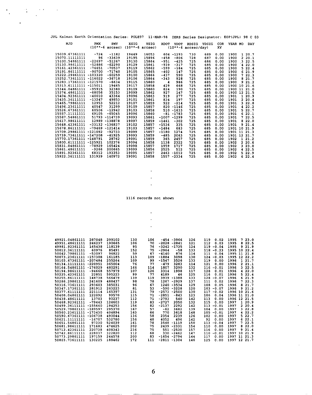| JPL Kalman Earth Orientation Series: POLE97 |           |                    |             |                    | $11 - \text{MAR} - 98$ |                |                       |       |      |         | IERS Series Designator: EOP(JPL) 98 C 03 |
|---------------------------------------------|-----------|--------------------|-------------|--------------------|------------------------|----------------|-----------------------|-------|------|---------|------------------------------------------|
| <b>MJD</b>                                  | PMX       | PMY                | <b>XSIG</b> | <b>YSIG</b>        | <b>XDOT</b>            | <b>YDOT</b>    | <b>XDSIG</b>          | YDSIG | COR. | YEAR MO | <b>DAY</b>                               |
|                                             |           | $(10***-6 arcsec)$ |             | $(10***-6 arcsec)$ |                        |                | $(10***6 arcsec/day)$ |       | XY   |         |                                          |
| 15039.67361111                              | -724      | $-1182$            | 19449       | 16053              | 604                    | $-1293$        | 730                   | 689   | 0.00 | 1900    | 1 20.7                                   |
| 15070.11111111                              | 96        | $-33639$           | 19195       | 15896              | $-458$                 | $-806$         | 728                   | 687   | 0.00 | 1900    | 220.1                                    |
| 15100.54861111                              | $-22697$  | $-51267$           | 19130       | 15864              | $-951$                 | $-425$         | 725                   | 686   | 0.00 | 1900    | 3, 22.5                                  |
| 15130.98611111                              | $-52886$  | $-62290$           | 19129       | 15861              | -939                   | $-317$         | 725                   | 685   | 0.00 | 1900    | 4, 22.0                                  |
| 15161.42361111                              | $-76651$  | $-70537$           | 19119       | 15862              | $-599$                 | $-184$         | 725                   | 685   | 0.00 | 1900    | 522.4                                    |
| 15191.86111111                              | $-90700$  | $-71740$           | 19105       | 15865              | $-402$                 | 147            | 725                   | 685   | 0.00 | 1900    | 621.9                                    |
| 15222.29861111 -103320                      |           | $-60259$           | 19100       | 15866              | $-437$                 | 590            | 725                   | 685   | 0.00 | 1900    | 722.3                                    |
| 15252.73611111 -116022                      |           | $-36718$           | 19106       | 15864              | $-343$                 | 928            | 725                   | 685   | 0.00 | 1900    | 21.7<br>8                                |
| 15283.17361111 -121570                      |           | $-6634$            | 19115       | 15860              | 4                      | 986            | 725                   | 685   | 0.00 | 1900    | 21.2<br>9                                |
| 15313.61111111 -115011                      |           | 19465              | 19117       | 15858              | 429                    | 668            | 725                   | 685   | 0.00 | 1900 10 | 21.6                                     |
| 15344.04861111                              | $-95915$  | 32380              | 19109       | 15860              | 824                    | 190            | 725                   | 685   | 0.00 |         | 1900 11 21.0                             |
| 15374.48611111                              | -68056    | 35153              | 19099       | 15862              | 927                    | 147            | 725                   | 685   | 0.00 |         | 1900 12 21.5                             |
| 15404.92361111                              | $-40010$  | 43364              | 19096       | 15863              | 919                    | 277            | 725                   | 685   | 0.00 | 1901    | 1 20.9                                   |
| 15435.36111111                              | $-13247$  | 49853              | 19101       | 15861              | 834                    | 197            | 725                   | 685   | 0.00 | 1901    | 2, 20.4                                  |
| 15465.79861111                              | 12953     | 52212              | 19107       | 15859              | 922                    | $-214$         | 725                   | 685   | 0.00 | 1901    | 322.8                                    |
| 15496.23611111                              | 40547     | 31299              | 19109       | 15857              |                        | $820 - 1146$   | 725                   | 685   | 0.00 | 1901    | 422.2                                    |
| 15526.67361111                              | 60506     | $-12942$           | 19103       | 15858              |                        | $510 - 1633$   | 725                   | 685   | 0.00 | 1901    | 522.7                                    |
| 15557.11111111                              | 69105     | $-65045$           | 19096       | 15860              |                        | $-81 - 1783$   | 725                   | 685   | 0.00 | 1901    | 622.1                                    |
| 15587.54861111                              |           | 51793 -114739      | 19093       | 15861              |                        | $-1007 - 1299$ | 725                   | 685   | 0.00 | 1901    | 722.5                                    |
| 15617.98611111                              |           | 12989 -138878      | 19097       | 15859              | $-1461$                | $-302$         | 725                   | 685   | 0.00 | 1901    | 822.0                                    |
| 15648.42361111                              |           | $-33132 - 136837$  | 19102       | 15857              | $-1536$                | 335            | 725                   | 685   | 0.00 | 1901    | 21.4<br>9                                |
| 15678.86111111                              |           | $-79469 - 121414$  | 19103       | 15857              | $-1484$                | 683            | 725                   | 685   | 0.00 | 1901 10 | 21.9                                     |
| 15709.29861111                              | $-121092$ | $-92733$           | 19099       | 15857              | $-1180$                | 1274           | 725                   | 685   | 0.00 |         | 1901 11 21.3                             |
| 15739.73611111 -147208                      |           | $-41925$           | 19093       | 15859              | $-485$                 | 2063           | 725                   | 685   | 0.00 |         | 1901 12 21.7                             |
| 15770.17361111 -148791                      |           | 28762              | 19091       | 15859              | 365                    | 2457           | 725                   | 685   | 0.00 | 1902    | 121.2                                    |
| 15800.61111111 -125921                      |           | 102376             | 19094       | 15858              | 1138                   | 2322           | 725                   | 685   | 0.00 | 1902    | 220.6                                    |
| 15831.04861111                              | $-78929$  | 165424             | 19098       | 15857              | 1959                   | 1717           | 725                   | 685   | 0.00 | 1902    | 3 23.0                                   |
| 15861.48611111                              | -9266     | 200665             | 19099       | 15856              | 2525                   | 512            | 725                   | 685   | 0.00 | 1902    | 4 22.5                                   |
| 15891.92361111                              | 68312     | 193353             | 19095       | 15857              |                        | $2463 - 1012$  | 725                   | 685   | 0.00 | 1902    | 5 22.9                                   |
| 15922.36111111                              | 131939    | 140972             | 19091       | 15858              |                        | 1557 -2334     | 725                   | 685   | 0.00 | 1902    | 622.4                                    |

 $\frac{1}{2}$  .

records not shovm

 $\mathcal{L}^{\mathcal{L}}$  $\sim 10^7$  $\sim 100$ 

 $\ddot{\phantom{a}}$ 

| 49921.04861111 | 287048    | 299102 | 130 | 106 |                | $-454 - 3966$ | 126 | 119<br>0.02    | 1995<br>723.0      |
|----------------|-----------|--------|-----|-----|----------------|---------------|-----|----------------|--------------------|
| 49951.48611111 | 246237    | 190665 | 106 | 70  | $-2028 - 2841$ |               | 121 | 112<br>0.03    | 822.5<br>1995      |
| 49981.92361111 | 165438    | 118139 | 95  | 76  | $-3242 - 1735$ |               | 124 | 119<br>$-0.04$ | 1995<br>21.9<br>9. |
| 50012.36111111 | 60976     | 85491  | 152 | 75  | $-2964$        | $-58$         | 133 | 118<br>$-0.23$ | 1995 10 22.4       |
| 50042.79861111 | $-53097$  | 96822  | 59  | 67  | $-4140$        | 876           | 114 | 111<br>0.04    | 1995 11 21.8       |
| 50073.23611111 | $-157308$ | 161185 | 113 | 109 | $-1884$        | 3098          | 130 | $-0.03$<br>124 | 1995<br>12 22.2    |
| 50103.67361111 | $-207484$ | 255264 | 109 | 99  | $-1547$        | 3526          | 133 | 119<br>0.00    | 1996<br>1 21.7     |
| 50134.11111111 | $-220951$ | 365004 | 76  | 77  | -479           | 3283          | 114 | 121<br>0.00    | 1996<br>221.1      |
| 50164.54861111 | $-176029$ | 480291 | 166 | 114 | 1807           | 3290          | 132 | 116<br>$-0.01$ | 322.5<br>1996      |
| 50194.98611111 | -94668    | 557979 | 107 | 126 | 3314           | 1998          | 117 | 128<br>0.01    | 1996<br>422.0      |
| 50225.42361111 | 22851     | 595223 | 99  | 77  | 4189           | 46            | 125 | 116<br>0.01    | 22.4<br>1996<br>5  |
| 50255.86111111 | 148738    | 566479 | 139 | 119 |                | 3939 -1388    | 133 | 128<br>$-0.07$ | 21.9<br>1996<br>6  |
| 50286.29861111 | 241609    | 488437 | 98  | 78  |                | $1267 - 2929$ | 137 | 111<br>0.02    | 22.3<br>1996<br>7  |
| 50316.73611111 | 293603    | 385031 | 96  | 67  |                | 1240 -3534    | 129 | 108<br>0.05    | 1996<br>21.7<br>8  |
| 50347.17361111 | 281912    | 263223 | 81  | 53  |                | $-590 - 3228$ | 120 | 103<br>$-0.07$ | 1996<br>21.2<br>9  |
| 50377.61111111 | 221114    | 165397 | 131 | 79  | $-2573$        | $-2500$       | 130 | 117<br>$-0.02$ | 1996 10<br>21.6    |
| 50408.04861111 | 122092    | 99570  | 115 | 71  | $-2851$        | $-843$        | 123 | 106<br>0.04    | 1996<br>11<br>21.0 |
| 50438.48611111 | 13703     | 90237  | 112 | 71  | $-2793$        | 540           | 142 | 113<br>0.00    | 1996 12 21.5       |
| 50468.92361111 | $-79443$  | 124603 | 119 | 83  | $-2727$        | 2050          | 132 | 115<br>0.00    | 1997<br>1, 20.9    |
| 50499.36111111 | $-155660$ | 194253 | 156 | 82  | $-2137$        | 2292          | 142 | 113<br>$-0.01$ | 2, 20.4<br>1997    |
| 50529.79861111 | $-189597$ | 295370 | 167 | 57  | $-62$          | 3682          | 139 | 104<br>0.00    | 22.8<br>1997<br>3  |
| 50560.23611111 | $-173430$ | 404894 | 163 | 66  | 770            | 3618          | 148 | $-0.01$<br>105 | 22.2<br>1997<br>4  |
| 50590.67361111 | $-106738$ | 490044 | 136 | 58  | 2354           | 2239          | 126 | 102<br>0.00    | 22.7<br>1997<br>5. |
| 50621.11111111 | $-16707$  | 532780 | 156 | 48  | 4052           | 496           | 142 | 92<br>0.00     | 22.1<br>1997<br>6  |
| 50651.54861111 | 97330     | 524039 | 161 | 78  | 3548           | $-1119$       | 150 | 113<br>$-0.04$ | 22.5<br>1997<br>7  |
| 50681.98611111 | 171683    | 474625 | 202 | 75  |                | 2439 -2331    | 154 | 110<br>0.00    | 22.0<br>1997<br>8  |
| 50712.42361111 | 220738    | 408343 | 236 | 75  |                | 551 -2530     | 157 | 116<br>0.00    | 21.4<br>9<br>1997  |
| 50742.86111111 | 228037    | 322820 | 112 | 68  |                | $330 - 2462$  | 147 | $-0.01$<br>110 | 10<br>21.9<br>1997 |
| 50773.29861111 | 197159    | 244578 | 200 | 83  | $-1654 - 2794$ |               | 144 | 117<br>0.00    | 11 21.3<br>1997    |
| 50803.73611111 | 130225    | 188462 | 172 | 111 | $-2811 - 1304$ |               | 146 | 125<br>0.00    | 12 21.7<br>1997    |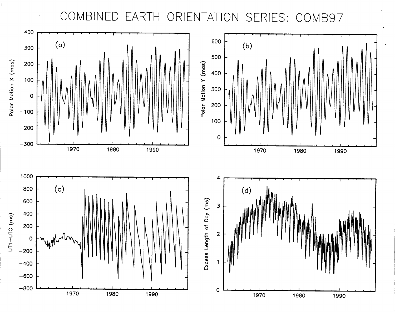COMBINED EARTH ORIENT SERIES: COMB97  $\Delta$ N  $\left( \quad \right)$ 

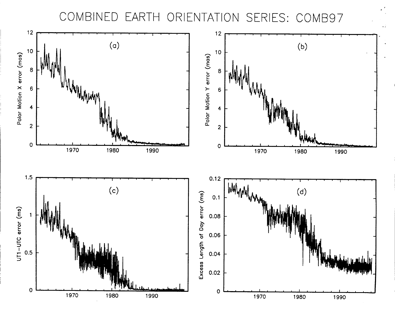COMBINED EARTH ORIENTATION SERIES: COMB97